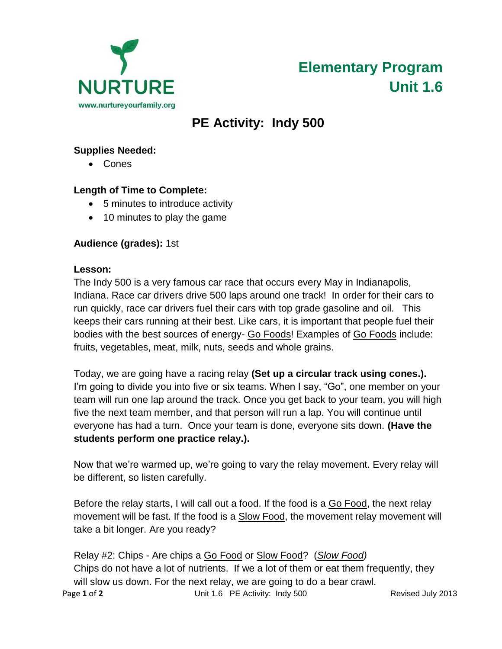



# **PE Activity: Indy 500**

## **Supplies Needed:**

Cones

### **Length of Time to Complete:**

- 5 minutes to introduce activity
- 10 minutes to play the game

### **Audience (grades):** 1st

#### **Lesson:**

The Indy 500 is a very famous car race that occurs every May in Indianapolis, Indiana. Race car drivers drive 500 laps around one track! In order for their cars to run quickly, race car drivers fuel their cars with top grade gasoline and oil. This keeps their cars running at their best. Like cars, it is important that people fuel their bodies with the best sources of energy- Go Foods! Examples of Go Foods include: fruits, vegetables, meat, milk, nuts, seeds and whole grains.

Today, we are going have a racing relay **(Set up a circular track using cones.).** I'm going to divide you into five or six teams. When I say, "Go", one member on your team will run one lap around the track. Once you get back to your team, you will high five the next team member, and that person will run a lap. You will continue until everyone has had a turn. Once your team is done, everyone sits down. **(Have the students perform one practice relay.).** 

Now that we're warmed up, we're going to vary the relay movement. Every relay will be different, so listen carefully.

Before the relay starts, I will call out a food. If the food is a Go Food, the next relay movement will be fast. If the food is a Slow Food, the movement relay movement will take a bit longer. Are you ready?

Relay #2: Chips - Are chips a Go Food or Slow Food? (*Slow Food)* Chips do not have a lot of nutrients. If we a lot of them or eat them frequently, they will slow us down. For the next relay, we are going to do a bear crawl.

Page 1 of 2 **Diamond Club Line Contract Unit 1.6** PE Activity: Indy 500 Revised July 2013